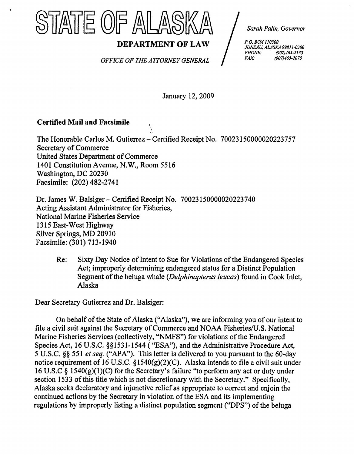

*Sarah Palin, Governor* 

**DEPARTMENT OF LAW** *P.O. BOX 110300*<br>*PHONE: 99811-0300*<br>*PHONE: (907)465-2133 PHONE: (907)465-2lJJ* 

**OFFICE OF THE ATTORNEY GENERAL** 

January 12,2009

## **Certified Mail** and Facsimile

 $\tilde{\mathbf{X}}$ 

The Honorable Carlos M. Gutierrez - Certified Receipt No. 70023150000020223757 Secretary of Commerce United States Department of Commerce 1401 Constitution Avenue, N.W., Room 5516 Washington, DC 20230 Facsimile: (202) 482-2741

Dr. James W. Balsiger- Certified Receipt No. 70023150000020223740 Acting Assistant Administrator for Fisheries, National Marine Fisheries Service 1315 East-West Highway Silver Springs, MD 20910 Facsimile: (301) 713-1940

Re: Sixty Day Notice of Intent to Sue for Violations of the Endangered Species Act; improperly determining endangered status for a Distinct Population Segment of the beluga whale *(Delphinapterus leucas)* found in Cook Inlet, Alaska

Dear Secretary Gutierrez and Dr. Balsiger:

On behalf of the State of Alaska ("Alaska"), we are informing you of our intent to file a civil suit against the Secretary of Commerce and NOAA Fisheries/U.S. National Marine Fisheries Services (collectively, "NMFS") for violations of the Endangered Species Act, 16 U.S.C. §§1531-1544 ("ESA"), and the Administrative Procedure Act, 5 U.S.C. §§ 551 *et seq.* ("APA"). This letter is delivered to you pursuant to the 60-day notice requirement of 16 U.S.C.  $\S1540(g)(2)(C)$ . Alaska intends to file a civil suit under 16 U.S.C § 1540 $(g)(1)(C)$  for the Secretary's failure "to perform any act or duty under section 1533 of this title which is not discretionary with the Secretary." Specifically, Alaska seeks declaratory and injunctive relief as appropriate to correct and enjoin the continued actions by the Secretary in violation of the ESA and its implementing regulations by improperly listing a distinct population segment ("DPS") of the beluga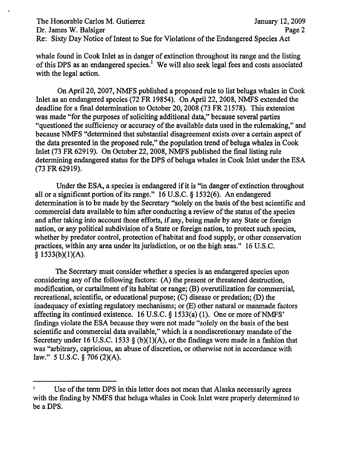The Honorable Carlos M. Gutierrez January 12, 2009 Dr. James W. Balsiger Page 2 Re: Sixty Day Notice of Intent to Sue for Violations of the Endangered Species Act

whale found in Cook Inlet as in danger of extinction throughout its range and the listing ofthis DPS as an endangered species.} We will also seek legal fees and costs associated with the legal action.

On April 20, 2007, NMFS published a proposed rule to list beluga whales in Cook Inlet as an endangered species (72 FR 19854). On April 22, 2008, NMFS extended the deadline for a final determination to October 20, 2008 (73 FR21578). This extension was made "for the purposes of soliciting additional data," because several parties "questioned the sufficiency or accuracy of the available data used in the rulemaking," and because NMFS "determined that substantial disagreement exists over a certain aspect of the data presented in the proposed rule," the population trend of beluga whales in Cook Inlet (73 FR 62919). On October 22, 2008, NMFS published the final listing rule determining endangered status for the DPS of beluga whales in Cook Inlet under the ESA (73 FR62919).

Under the ESA, a species is endangered if it is "in danger of extinction throughout all or a significant portion of its range." 16 U.S.C. § 1532(6). An endangered determination is to be made by the Secretary "solely on the basis of the best scientific and commercial data available to him after conducting a review of the status of the species and after taking into account those efforts, if any, being made by any State or foreign nation, or any political subdivision of a State or foreign nation, to protect such species, whether by predator control, protection of habitat and food supply, or other conservation practices, within any area under its jurisdiction, or on the high seas." 16 U.S.C.  $§$  1533(b)(1)(A).

The Secretary must consider whether a species is an endangered species upon considering any of the following factors:  $(A)$  the present or threatened destruction, modification, or curtailment of its habitat or range; (B) overutilization for commercial, recreational, scientific, or educational purpose; (C) disease or predation; (D) the inadequacy of existing regulatory mechanisms; or (E) other natural or manmade factors affecting its continued existence. 16 U.S.C.  $\S$  1533(a) (1). One or more of NMFS' findings violate the ESA because they were not made "solely on the basis of the best scientific and commercial data available," which is a nondiscretionary mandate of the Secretary under 16 U.S.C. 1533 § (b)(1)(A), or the findings were made in a fashion that was "arbitrary, capricious, an abuse of discretion, or otherwise not in accordance with law." 5 U.S.C. § 706 (2)(A).

 $\mathbf{I}$ Use of the term DPS in this letter does not mean that Alaska necessarily agrees with the finding by NMFS that beluga whales in Cook Inlet were properly determined to be a DPS.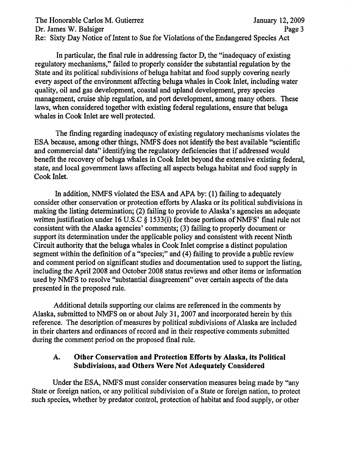The Honorable Carlos M. Gutierrez January 12, 2009 Dr. James W. Balsiger Page 3 Re: Sixty Day Notice of Intent to Sue for Violations of the Endangered Species Act

In particular, the final rule in addressing factor D, the "inadequacy of existing regulatory mechanisms," failed to properly consider the substantial regulation by the State and its political subdivisions of beluga habitat and food supply covering nearly every aspect of the environment affecting beluga whales in Cook Inlet, including water quality, oil and gas development, coastal and upland development, prey species management, cruise ship regulation, and port development, among many others. These laws, when considered together with existing federal regulations, ensure that beluga whales in Cook Inlet are well protected.

The fmding regarding inadequacy of existing regulatory mechanisms violates the ESA because, among other things, NMFS does not identify the best available "scientific and commercial data" identifying the regulatory deficiencies that if addressed would benefit the recovery of beluga whales in Cook Inlet beyond the extensive existing federal, state, and local government laws affecting all aspects beluga habitat and food supply in Cook Inlet.

In addition, NMFS violated the ESA and APA by: (1) failing to adequately consider other conservation or protection efforts by Alaska or its political subdivisions in making the listing determination; (2) failing to provide to Alaska's agencies an adequate written justification under 16 U.S.C  $\S$  1533(i) for those portions of NMFS' final rule not consistent with the Alaska agencies' comments; (3) failing to properly document or support its determination under the applicable policy and consistent with recent Ninth Circuit authority that the beluga whales in Cook Inlet comprise a distinct population segment within the definition of a "species;" and (4) failing to provide a public review and comment period on significant studies and documentation used to support the listing, including the April 2008 and October 2008 status reviews and other items or information used by NMFS to resolve "substantial disagreement" over certain aspects of the data presented in the proposed rule.

Additional details supporting our claims are referenced in the comments by Alaska, submitted to NMFS on or about July 31, 2007 and incorporated herein by this reference. The description of measures by political subdivisions of Alaska are included in their charters and ordinances of record and in their respective comments submitted during the comment period on the proposed final rule.

### A. Other Conservation and Protection Efforts by Alaska, its Political Subdivisions, and Others Were Not Adequately Considered

Under the ESA, NMFS must consider conservation measures being made by "any State or foreign nation, or any political subdivision of a State or foreign nation, to protect such species, whether by predator control, protection of habitat and food supply, or other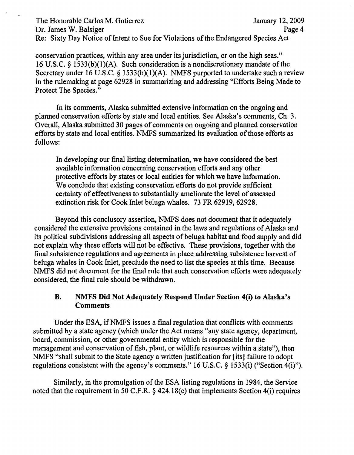## The Honorable Carlos M. Gutierrez January 12, 2009 Dr. James W. Balsiger Page 4 Re: Sixty Day Notice of Intent to Sue for Violations of the Endangered Species Act

conservation practices, within any area under its jurisdiction, or on the high seas." 16 U.S.C. § 1533(b)(I)(A). Such consideration is a nondiscretionary mandate of the Secretary under 16 U.S.C. § 1533(b)(1)(A). NMFS purported to undertake such a review in the rulemaking at page 62928 in summarizing and addressing "Efforts Being Made to Protect The Species."

In its comments, Alaska submitted extensive information on the ongoing and planned conservation efforts by state and local entities. See Alaska's comments, Ch. 3. Overall, Alaska submitted 30 pages of comments on ongoing and planned conservation efforts by state and local entities. NMFS summarized its evaluation of those efforts as follows:

In developing our final listing determination, we have considered the best available information concerning conservation efforts and any other protective efforts by states or local entities for which we have information. We conclude that existing conservation efforts do not provide sufficient certainty of effectiveness to substantially ameliorate the level of assessed extinction risk for Cook Inlet beluga whales. 73 FR 62919, 62928.

Beyond this conclusory assertion, NMFS does not document that it adequately considered the extensive provisions contained in the laws and regulations of Alaska and its political subdivisions addressing all aspects of beluga habitat and food supply and did not explain why these efforts will not be effective. These provisions, together with the final subsistence regulations and agreements in place addressing subsistence harvest of beluga whales in Cook Inlet, preclude the need to list the species at this time. Because NMFS did not document for the final rule that such conservation efforts were adequately considered, the final rule should be withdrawn.

## B. NMFS Did Not Adequately Respond Under Section 4(i) to Alaska's Comments

Under the ESA, if NMFS issues a final regulation that conflicts with comments submitted by a state agency (which under the Act means "any state agency, department, board, commission, or other governmental entity which is responsible for the management and conservation of fish, plant, or wildlife resources within a state"), then NMFS "shall submit to the State agency a written justification for [its] failure to adopt regulations consistent with the agency's comments." 16 U.S.C. § 1533(i) ("Section 4(i)").

Similarly, in the promulgation of the ESA listing regulations in 1984, the Service noted that the requirement in 50 C.F.R. § 424.l8(c) that implements Section 4(i) requires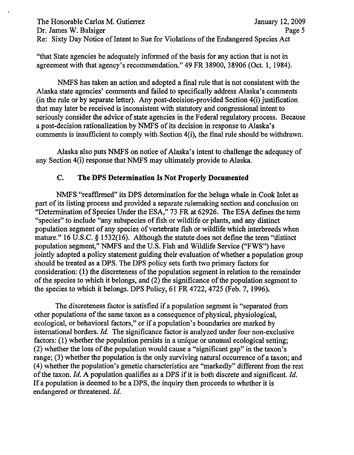The Honorable Carlos M. Gutierrez January 12, 2009 Dr. James W. Balsiger Page 5 Re: Sixty Day Notice of Intent to Sue for Violations of the Endangered Species Act

"that State agencies be adequately informed of the basis for any action that is not in agreement with that agency's recommendation." 49 FR 38900,38906 (Oct. 1, 1984).

NMFS has taken an action and adopted a final rule that is not consistent with the Alaska state agencies' comments and failed to specificaJIy address Alaska's comments (in the rule or by separate letter). Any post-decision-provided Section 4(i) justification that may later be received is inconsistent with statutory and congressional intent to seriously consider the advice of state agencies in the Federal regulatory process. Because a post-decision rationalization by NMFS of its decision in response to Alaska's comments is insufficient to comply with Section 4(i), the final rule should be withdrawn.

Alaska also puts NMFS on notice of Alaska's intent to challenge the adequacy of any Section 4(i) response that NMFS may ultimately provide to Alaska.

# c. The DPS Determination Is Not Properly Documented

NMFS "reaffirmed" its DPS determination for the beluga whale in Cook Inlet as part of its listing process and provided a separate rulemaking section and conclusion on "Determination of Species Under the ESA," 73 FR at 62926. The ESA defines the term "species" to include "any subspecies of fish or wildlife or plants, and any distinct population segment of any species of vertebrate fish or wildlife which interbreeds when mature." 16 U.S.C. § 1532(16). Although the statute does not define the term "distinct population segment," NMFS and the U.S. Fish and Wildlife Service ("FWS") have jointly adopted a policy statement guiding their evaluation of whether a population group should be treated as a DPS. The DPS policy sets forth two primary factors for consideration: (1) the discreteness of the population segment in relation to the remainder of the species to which it belongs, and  $(2)$  the significance of the population segment to the species to which it belongs. DPS Policy, 61 FR 4722, 4725 (Feb. 7, 1996).

The discreteness factor is satisfied jf a population segment is "separated from other populations of the same taxon as a consequence of physical, physiological, ecological, or behavioral factors," or if a population's boundaries are marked by international borders. *ld.* The significance factor is analyzed under four non-exclusive factors: (1) whether the population persists in a unique or unusual ecological setting;  $(2)$  whether the loss of the population would cause a "significant gap" in the taxon's range; (3) whether the population is the only surviving natural occurrence of a taxon; and (4) whether the population's genetic characteristics are "markedly" different from the rest of the taxon. *Id.* A population qualifies as a DPS if it is both discrete and significant. *Id.* If a population is deemed to be a DPS, the inquiry then proceeds to whether it is endangered or threatened. Id.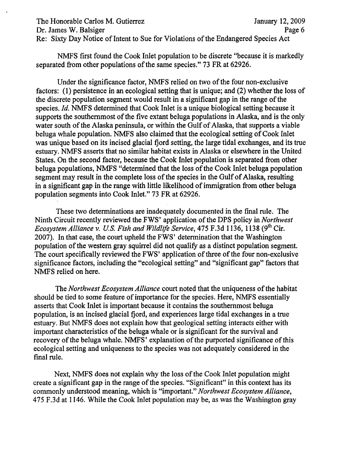The Honorable Carlos M. Gutierrez January 12, 2009 Dr. James W. Balsiger Page 6 Re: Sixty Day Notice of Intent to Sue for Violations of the Endangered Species Act

NMFS first found the Cook Inlet population to be discrete "because it is markedly separated from other populations of the same species." 73 FR at 62926.

Under the significance factor, NMFS relied on two of the four non-exclusive factors: (1) persistence in an ecological setting that is unique; and (2) whether the loss of the discrete population segment would result in a significant gap in the range of the species. *Id.* NMFS determined that Cook Inlet is a unique biological setting because it supports the southernmost of the five extant beluga populations in Alaska, and is the only water south of the Alaska peninsula, or within the Gulf of Alaska, that supports a viable beluga whale population. NMFS also claimed that the ecological setting of Cook Inlet was unique based on its incised glacial fjord setting, the large tidal exchanges, and its true estuary. NMFS asserts that no similar habitat exists in Alaska or elsewhere in the United States. On the second factor, because the Cook Inlet population is separated from other beluga populations, NMFS "determined that the loss of the Cook Inlet beluga population segment may result in the complete loss of the species in the Gulf of Alaska, resulting in a significant gap in the range with little likelihood of immigration from other beluga population segments into Cook Inlet." 73 FR at 62926.

These two determinations are inadequately documented in the final rule. The Ninth Circuit recently reviewed the FWS' application of the DPS policy in *Northwest Ecosystem Alliance v. U.S. Fish and Wildlife Service,* 475 F.3d 1136, 1138 (9<sup>th</sup> Cir. 2007). In that case, the court upheld the FWS' determination that the Washington population of the western gray squirrel did not qualify as a distinct population segment. The court specifically reviewed the FWS' application of three of the four non-exclusive significance factors, including the "ecological setting" and "significant gap" factors that NMFS relied on here.

The *Northwest Ecosystem Alliance* court noted that the uniqueness of the habitat should be tied to some feature of importance for the species. Here, NMFS essentially asserts that Cook Inlet is important because it contains the southernmost beluga population, is an incised glacial fjord, and experiences large tidal exchanges in a true estuary. But NMFS does not explain how that geological setting interacts either with important characteristics of the beluga whale or is significant for the survival and recovery of the beluga whale. NMFS' explanation of the purported significance of this ecological setting and uniqueness to the species was not adequately considered in the final rule.

Next, NMFS does not explain why the loss of the Cook Inlet population might create a significant gap in the range of the species. "Significant" in this context has its commonly understood meaning, which is "important." *Northwest Ecosystem Alliance,*  475 F.3d at 1146. While the Cook Inlet population may be, as was the Washington gray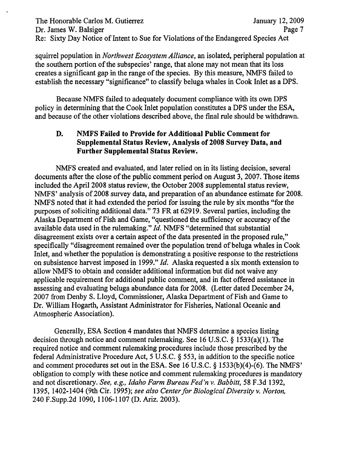The Honorable Carlos M. Gutierrez January 12, 2009 Dr. James W. Balsiger Page 7 Re: Sixty Day Notice of Intent to Sue for Violations of the Endangered Species Act

squirrel population in *Northwest Ecosystem Alliance,* an isolated, peripheral population at the southern portion of the subspecies' range, that alone may not mean that its loss creates a significant gap in the range of the species. By this measure, NMFS failed to establish the necessary "significance" to classify beluga whales in Cook Inlet as a DPS.

Because NMFS failed to adequately document compliance with its own DPS policy in determining that the Cook Inlet population constitutes a DPS under the ESA, and because of the other violations described above, the final rule should be withdrawn.

## D. NMFS Failed to Provide for Additional Public Comment for Supplemental Status Review, Analysis of 2008 Survey Data, and Further Supplemental Status Review.

NMFS created and evaluated, and later relied on in its listing decision, several documents after the close of the public comment period on August 3, 2007. Those items included the April 2008 status review, the October 2008 supplemental status review, NMFS' analysis of 2008 survey data, and preparation of an abundance estimate for 2008. NMFS noted that it had extended the period for issuing the rule by six months "for the purposes of soliciting additional data." 73 FR at 62919. Several parties, including the Alaska Department of Fish and Game, "questioned the sufficiency or accuracy of the available data used in the rulemaking." *Id.* NMFS "determined that substantial disagreement exists over a certain aspect of the data presented in the proposed rule," specifically "disagreement remained over the population trend of beluga whales in Cook Inlet, and whether the population is demonstrating a positive response to the restrictions on subsistence harvest imposed in 1999." *Id.* Alaska requested a six month extension to allow NMFS to obtain and consider additional information but did not waive any applicable requirement for additional public comment,and in fact offered assistance in assessing and evaluating beluga abundance data for 2008. (Letter dated December 24, 2007 from Denby S. Lloyd, Commissioner, Alaska Department of Fish and Game to Dr. William Hogarth, Assistant Administrator for Fisheries, National Oceanic and Atmospheric Association).

Generally, ESA Section 4 mandates that NMFS determine a species listing decision through notice and comment rulemaking. See 16 U.S.C. § 1533(a)(1). The required notice and comment rulemaking procedures include those prescribed by the federal Administrative Procedure Act, 5 U.S.C. § 553, in addition to the specific notice and comment procedures set out in the ESA. See 16 U.S.C. § 1533(b)(4)-(6). The NMFS' obligation to comply with these notice and comment rulemaking procedures is mandatory and not discretionary. *See, e.g., Idaho Farm Bureau Fed'n* v. *Babbitt,* 58 F.3d 1392, 1395, 1402-1404 (9th Cir. 1995); *see also Centerfor Biological Diversity* v. *Norton,*  240 F.Supp.2d 1090, 1106-1107 (D. Ariz. 2003).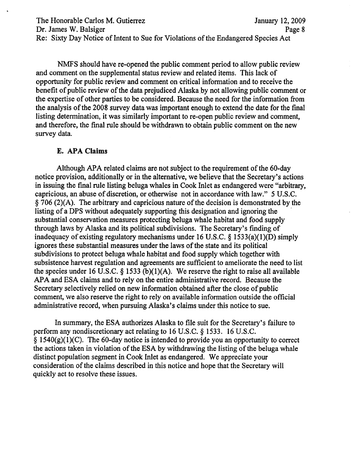The Honorable Carlos M. Gutierrez January 12, 2009 Dr. James W. Balsiger Page 8 Re: Sixty Day Notice of Intent to Sue for Violations of the Endangered Species Act

NMFS should have re-opened the public comment period to allow public review and comment on the supplemental status review and related items. This lack of opportunity for public review and comment on critical information and to receive the benefit of public review of the data prejudiced Alaska by not allowing public comment or the expertise of other parties to be considered. Because the need for the information from the analysis of the 2008 survey data was important enough to extend the date for the final listing determination, it was similarly important to re-open public review and comment, and therefore, the fmal rule should be withdrawn to obtain public comment on the new survey data.

#### E. AP**A Claims**

Although APA related claims are not subject to the requirement of the 60-day notice provision, additionally or in the alternative, we believe that the Secretary's actions in issuing the final rule listing beluga whales in Cook Inlet as endangered were "arbitrary, capricious, an abuse of discretion, or otherwise not in accordance with law." 5 U.S.C.  $\S$  706 (2)(A). The arbitrary and capricious nature of the decision is demonstrated by the listing of a DPS without adequately supporting this designation and ignoring the . substantial conservation measures protecting beluga whale habitat and food supply through laws by Alaska and its political subdivisions. The Secretary's finding of inadequacy of existing regulatory mechanisms under 16 U.S.C. § 1533(a)(l)(D) simply ignores these substantial measures under the laws of the state and its political subdivisions to protect beluga whale habitat and food supply which together with subsistence harvest regulation and agreements are sufficient to ameliorate the need to list the species under 16 U.S.C. § 1533 (b)(1)(A). We reserve the right to raise all available APA and ESA claims and to rely on the entire administrative record. Because the Secretary selectively relied on new information obtained after the close of public comment, we also reserve the right to rely on available information outside the official administrative record, when pursuing Alaska's claims under this notice to sue.

In summary, the ESA authorizes Alaska to file suit for the Secretary's failure to perform any nondiscretionary act relating to 16 U.S.C. § 1533. 16 U.S.C.  $\S$  1540(g)(1)(C). The 60-day notice is intended to provide you an opportunity to correct the actions taken in violation of the ESA by withdrawing the listing of the beluga whale distinct population segment in Cook Inlet as endangered. We appreciate your consideration of the claims described in this notice and hope that the Secretary will quickly act to resolve these issues.